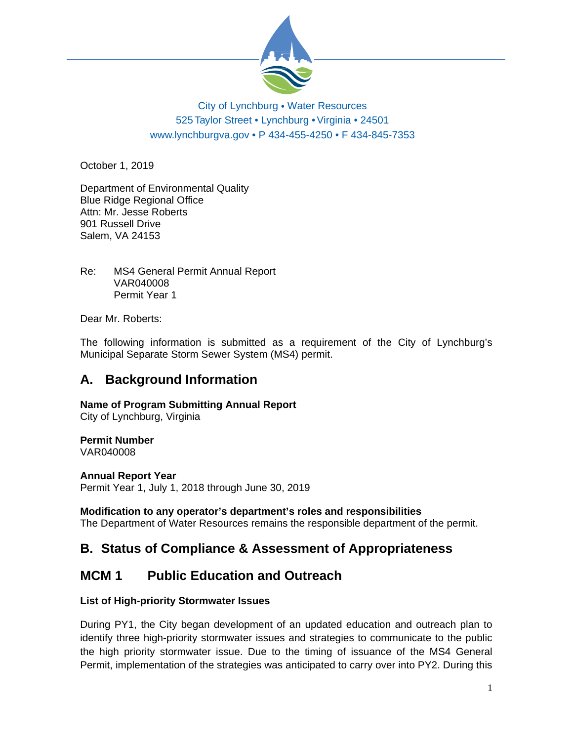

## City of Lynchburg • Water Resources *R* 525 Taylor Street • Lynchburg • Virginia • 24501 www.lynchburgva.gov • P 434-455-4250 • F 434-845-7353

October 1, 2019

Department of Environmental Quality Blue Ridge Regional Office Attn: Mr. Jesse Roberts 901 Russell Drive Salem, VA 24153

Re: MS4 General Permit Annual Report VAR040008 Permit Year 1

Dear Mr. Roberts:

The following information is submitted as a requirement of the City of Lynchburg's Municipal Separate Storm Sewer System (MS4) permit.

## **A. Background Information**

**Name of Program Submitting Annual Report** 

City of Lynchburg, Virginia

## **Permit Number**

VAR040008

## **Annual Report Year**

Permit Year 1, July 1, 2018 through June 30, 2019

## **Modification to any operator's department's roles and responsibilities**

The Department of Water Resources remains the responsible department of the permit.

## **B. Status of Compliance & Assessment of Appropriateness**

## **MCM 1 Public Education and Outreach**

## **List of High-priority Stormwater Issues**

During PY1, the City began development of an updated education and outreach plan to identify three high-priority stormwater issues and strategies to communicate to the public the high priority stormwater issue. Due to the timing of issuance of the MS4 General Permit, implementation of the strategies was anticipated to carry over into PY2. During this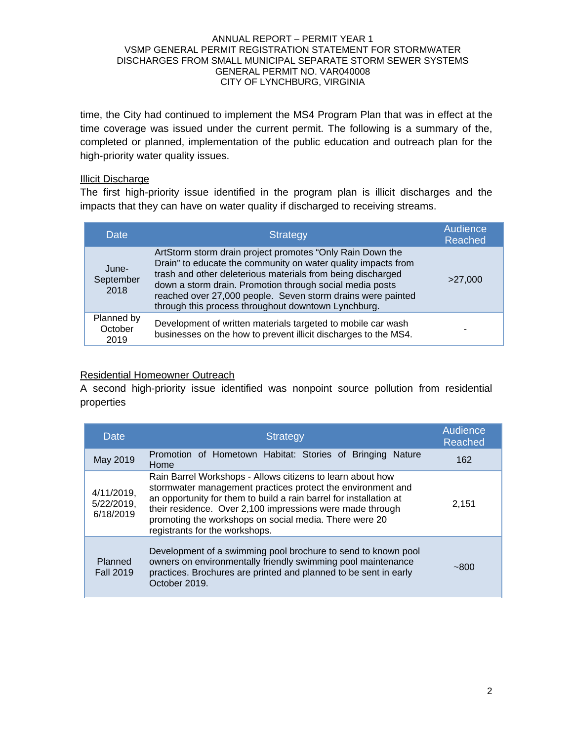time, the City had continued to implement the MS4 Program Plan that was in effect at the time coverage was issued under the current permit. The following is a summary of the, completed or planned, implementation of the public education and outreach plan for the high-priority water quality issues.

### Illicit Discharge

The first high-priority issue identified in the program plan is illicit discharges and the impacts that they can have on water quality if discharged to receiving streams.

| Date                          | <b>Strategy</b>                                                                                                                                                                                                                                                                                                                                                             | Audience<br>Reached |
|-------------------------------|-----------------------------------------------------------------------------------------------------------------------------------------------------------------------------------------------------------------------------------------------------------------------------------------------------------------------------------------------------------------------------|---------------------|
| June-<br>September<br>2018    | ArtStorm storm drain project promotes "Only Rain Down the<br>Drain" to educate the community on water quality impacts from<br>trash and other deleterious materials from being discharged<br>down a storm drain. Promotion through social media posts<br>reached over 27,000 people. Seven storm drains were painted<br>through this process throughout downtown Lynchburg. | >27,000             |
| Planned by<br>October<br>2019 | Development of written materials targeted to mobile car wash<br>businesses on the how to prevent illicit discharges to the MS4.                                                                                                                                                                                                                                             |                     |

## Residential Homeowner Outreach

A second high-priority issue identified was nonpoint source pollution from residential properties

| Date                                  | <b>Strategy</b>                                                                                                                                                                                                                                                                                                                                          | Audience<br>Reached |
|---------------------------------------|----------------------------------------------------------------------------------------------------------------------------------------------------------------------------------------------------------------------------------------------------------------------------------------------------------------------------------------------------------|---------------------|
| May 2019                              | Promotion of Hometown Habitat: Stories of Bringing Nature<br>Home                                                                                                                                                                                                                                                                                        | 162                 |
| 4/11/2019,<br>5/22/2019,<br>6/18/2019 | Rain Barrel Workshops - Allows citizens to learn about how<br>stormwater management practices protect the environment and<br>an opportunity for them to build a rain barrel for installation at<br>their residence. Over 2,100 impressions were made through<br>promoting the workshops on social media. There were 20<br>registrants for the workshops. | 2.151               |
| Planned<br><b>Fall 2019</b>           | Development of a swimming pool brochure to send to known pool<br>owners on environmentally friendly swimming pool maintenance<br>practices. Brochures are printed and planned to be sent in early<br>October 2019.                                                                                                                                       | $-800$              |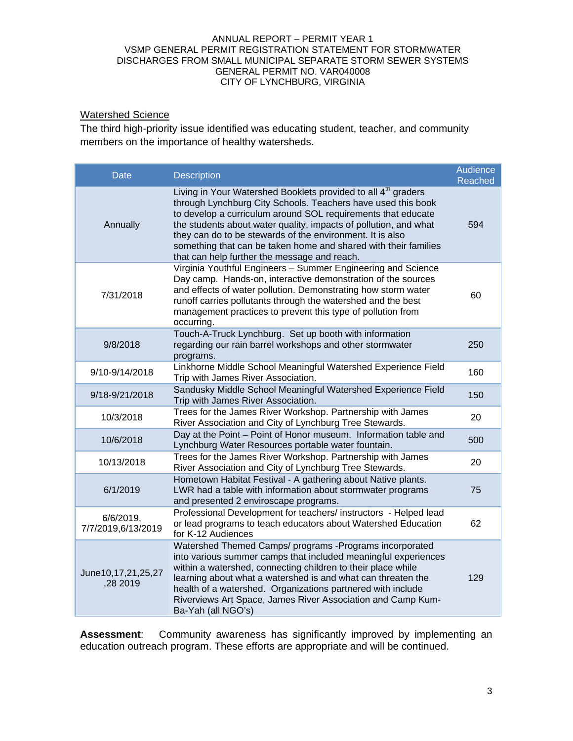## Watershed Science

The third high-priority issue identified was educating student, teacher, and community members on the importance of healthy watersheds.

| <b>Date</b>                     | <b>Description</b>                                                                                                                                                                                                                                                                                                                                                                                                                                            | Audience<br>Reached |
|---------------------------------|---------------------------------------------------------------------------------------------------------------------------------------------------------------------------------------------------------------------------------------------------------------------------------------------------------------------------------------------------------------------------------------------------------------------------------------------------------------|---------------------|
| Annually                        | Living in Your Watershed Booklets provided to all 4 <sup>th</sup> graders<br>through Lynchburg City Schools. Teachers have used this book<br>to develop a curriculum around SOL requirements that educate<br>the students about water quality, impacts of pollution, and what<br>they can do to be stewards of the environment. It is also<br>something that can be taken home and shared with their families<br>that can help further the message and reach. | 594                 |
| 7/31/2018                       | Virginia Youthful Engineers - Summer Engineering and Science<br>Day camp. Hands-on, interactive demonstration of the sources<br>and effects of water pollution. Demonstrating how storm water<br>runoff carries pollutants through the watershed and the best<br>management practices to prevent this type of pollution from<br>occurring.                                                                                                                    | 60                  |
| 9/8/2018                        | Touch-A-Truck Lynchburg. Set up booth with information<br>regarding our rain barrel workshops and other stormwater<br>programs.                                                                                                                                                                                                                                                                                                                               | 250                 |
| 9/10-9/14/2018                  | Linkhorne Middle School Meaningful Watershed Experience Field<br>Trip with James River Association.                                                                                                                                                                                                                                                                                                                                                           | 160                 |
| 9/18-9/21/2018                  | Sandusky Middle School Meaningful Watershed Experience Field<br>Trip with James River Association.                                                                                                                                                                                                                                                                                                                                                            | 150                 |
| 10/3/2018                       | Trees for the James River Workshop. Partnership with James<br>River Association and City of Lynchburg Tree Stewards.                                                                                                                                                                                                                                                                                                                                          | 20                  |
| 10/6/2018                       | Day at the Point - Point of Honor museum. Information table and<br>Lynchburg Water Resources portable water fountain.                                                                                                                                                                                                                                                                                                                                         | 500                 |
| 10/13/2018                      | Trees for the James River Workshop. Partnership with James<br>River Association and City of Lynchburg Tree Stewards.                                                                                                                                                                                                                                                                                                                                          | 20                  |
| 6/1/2019                        | Hometown Habitat Festival - A gathering about Native plants.<br>LWR had a table with information about stormwater programs<br>and presented 2 enviroscape programs.                                                                                                                                                                                                                                                                                           | 75                  |
| 6/6/2019,<br>7/7/2019,6/13/2019 | Professional Development for teachers/ instructors - Helped lead<br>or lead programs to teach educators about Watershed Education<br>for K-12 Audiences                                                                                                                                                                                                                                                                                                       | 62                  |
| June10,17,21,25,27<br>,28 2019  | Watershed Themed Camps/ programs -Programs incorporated<br>into various summer camps that included meaningful experiences<br>within a watershed, connecting children to their place while<br>learning about what a watershed is and what can threaten the<br>health of a watershed. Organizations partnered with include<br>Riverviews Art Space, James River Association and Camp Kum-<br>Ba-Yah (all NGO's)                                                 | 129                 |

**Assessment**: Community awareness has significantly improved by implementing an education outreach program. These efforts are appropriate and will be continued.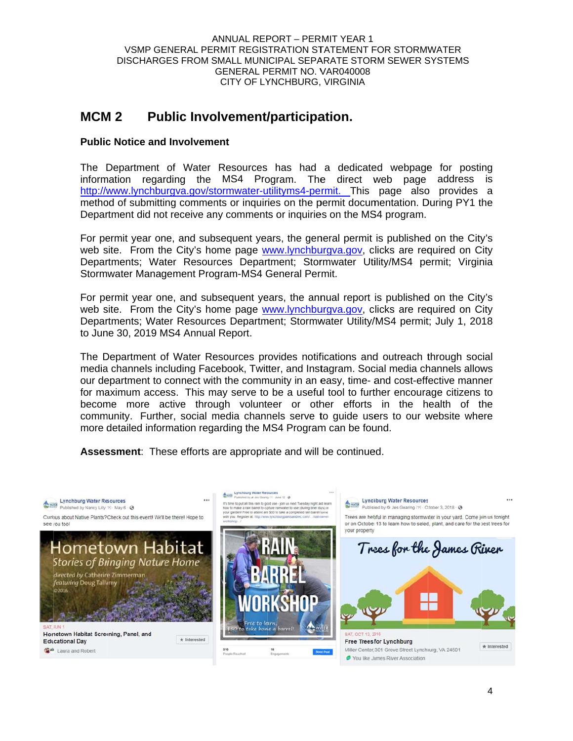#### VSMP GENERAL PERMIT REGISTRATION STATEMENT FOR STORMWATER DISCHARGES FROM SMALL MUNICIPAL SEPARATE STORM SEWER SYSTEMS ANNUAL REPORT – PERMIT YEAR 1 GENERAL PERMIT NO. VAR040008 CITY OF LYNCHBURG, VIRGINIA

#### **MCM M2** Public Involvement/participation.

## **Public Notice and Involvement**

The Department of Water Resources has had a dedicated webpage for posting information regarding the MS4 Program. The direct web page address is http://www.lynchburgva.gov/stormwater-utilityms4-permit. This page also provides a method of submitting comments or inquiries on the permit documentation. During PY1 the Department did not receive any comments or inquiries on the MS4 program.

For permit year one, and subsequent years, the general permit is published on the City's web site. From the City's home page **www.lynchburgva.gov**, clicks are required on City Departments; Water Resources Department; Stormwater Utility/MS4 permit; Virginia Stormwater Management Program-MS4 General Permit.

For permit year one, and subsequent years, the annual report is published on the City's web site. From the City's home page **www.lynchburgva.gov**, clicks are required on City Departments; Water Resources Department; Stormwater Utility/MS4 permit; July 1, 2018 to June 30, 2019 MS4 Annual Report.

The Department of Water Resources provides notifications and outreach through social media channels including Facebook, Twitter, and Instagram. Social media channels allows our department to connect with the community in an easy, time- and cost-effective manner for maximum access. This may serve to be a useful tool to further encourage citizens to become more active through volunteer or other efforts in the health of the community. Further, social media channels serve to guide users to our website where more detailed information regarding the MS4 Program can be found.

Assessment: These efforts are appropriate and will be continued.

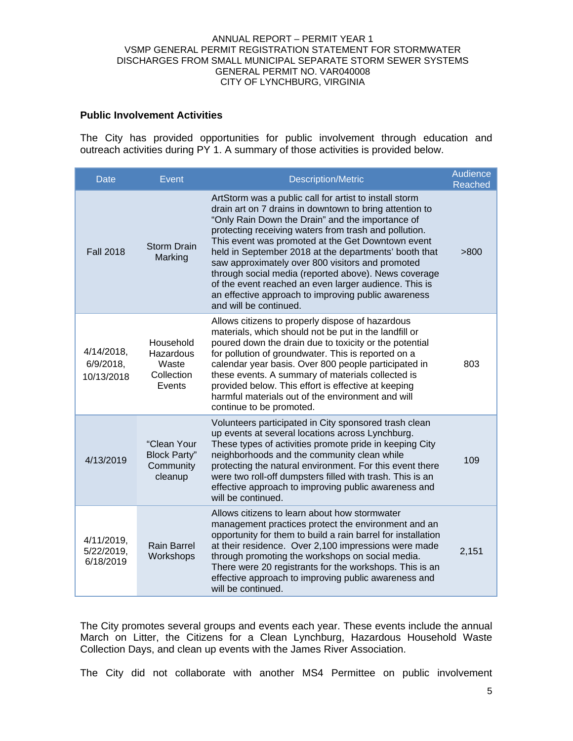### **Public Involvement Activities**

The City has provided opportunities for public involvement through education and outreach activities during PY 1. A summary of those activities is provided below.

| Date                                     | Event                                                      | <b>Description/Metric</b>                                                                                                                                                                                                                                                                                                                                                                                                                                                                                                                                                                          | Audience<br>Reached |
|------------------------------------------|------------------------------------------------------------|----------------------------------------------------------------------------------------------------------------------------------------------------------------------------------------------------------------------------------------------------------------------------------------------------------------------------------------------------------------------------------------------------------------------------------------------------------------------------------------------------------------------------------------------------------------------------------------------------|---------------------|
| <b>Fall 2018</b>                         | <b>Storm Drain</b><br>Marking                              | ArtStorm was a public call for artist to install storm<br>drain art on 7 drains in downtown to bring attention to<br>"Only Rain Down the Drain" and the importance of<br>protecting receiving waters from trash and pollution.<br>This event was promoted at the Get Downtown event<br>held in September 2018 at the departments' booth that<br>saw approximately over 800 visitors and promoted<br>through social media (reported above). News coverage<br>of the event reached an even larger audience. This is<br>an effective approach to improving public awareness<br>and will be continued. | >800                |
| 4/14/2018,<br>$6/9/2018$ ,<br>10/13/2018 | Household<br>Hazardous<br>Waste<br>Collection<br>Events    | Allows citizens to properly dispose of hazardous<br>materials, which should not be put in the landfill or<br>poured down the drain due to toxicity or the potential<br>for pollution of groundwater. This is reported on a<br>calendar year basis. Over 800 people participated in<br>these events. A summary of materials collected is<br>provided below. This effort is effective at keeping<br>harmful materials out of the environment and will<br>continue to be promoted.                                                                                                                    | 803                 |
| 4/13/2019                                | "Clean Your<br><b>Block Party"</b><br>Community<br>cleanup | Volunteers participated in City sponsored trash clean<br>up events at several locations across Lynchburg.<br>These types of activities promote pride in keeping City<br>neighborhoods and the community clean while<br>protecting the natural environment. For this event there<br>were two roll-off dumpsters filled with trash. This is an<br>effective approach to improving public awareness and<br>will be continued.                                                                                                                                                                         | 109                 |
| 4/11/2019,<br>5/22/2019,<br>6/18/2019    | <b>Rain Barrel</b><br>Workshops                            | Allows citizens to learn about how stormwater<br>management practices protect the environment and an<br>opportunity for them to build a rain barrel for installation<br>at their residence. Over 2,100 impressions were made<br>through promoting the workshops on social media.<br>There were 20 registrants for the workshops. This is an<br>effective approach to improving public awareness and<br>will be continued.                                                                                                                                                                          | 2,151               |

The City promotes several groups and events each year. These events include the annual March on Litter, the Citizens for a Clean Lynchburg, Hazardous Household Waste Collection Days, and clean up events with the James River Association.

The City did not collaborate with another MS4 Permittee on public involvement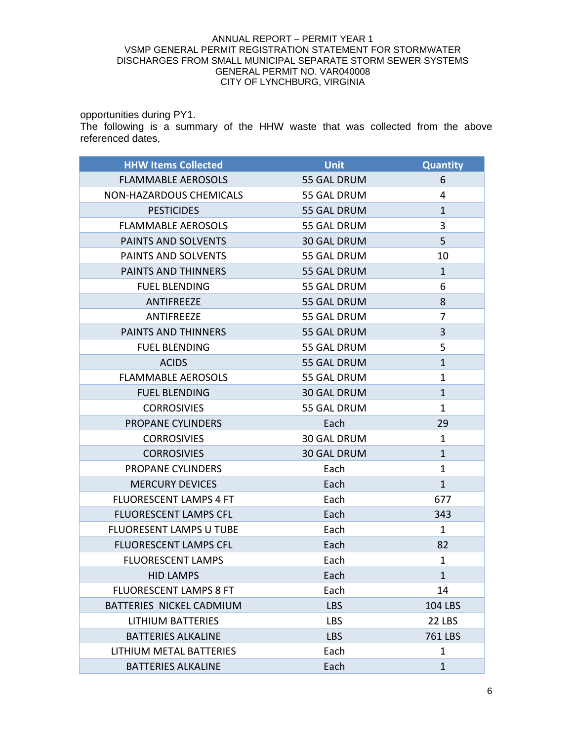opportunities during PY1.

The following is a summary of the HHW waste that was collected from the above referenced dates,

| <b>HHW Items Collected</b>     | <b>Unit</b>        | <b>Quantity</b> |
|--------------------------------|--------------------|-----------------|
| <b>FLAMMABLE AEROSOLS</b>      | 55 GAL DRUM        | 6               |
| NON-HAZARDOUS CHEMICALS        | 55 GAL DRUM        | 4               |
| <b>PESTICIDES</b>              | 55 GAL DRUM        | $\mathbf{1}$    |
| <b>FLAMMABLE AEROSOLS</b>      | 55 GAL DRUM        | 3               |
| PAINTS AND SOLVENTS            | <b>30 GAL DRUM</b> | 5               |
| PAINTS AND SOLVENTS            | 55 GAL DRUM        | 10              |
| PAINTS AND THINNERS            | 55 GAL DRUM        | $\mathbf{1}$    |
| <b>FUEL BLENDING</b>           | 55 GAL DRUM        | 6               |
| ANTIFREEZE                     | 55 GAL DRUM        | 8               |
| ANTIFREEZE                     | 55 GAL DRUM        | $\overline{7}$  |
| PAINTS AND THINNERS            | 55 GAL DRUM        | 3               |
| <b>FUEL BLENDING</b>           | 55 GAL DRUM        | 5               |
| <b>ACIDS</b>                   | 55 GAL DRUM        | $\mathbf{1}$    |
| <b>FLAMMABLE AEROSOLS</b>      | 55 GAL DRUM        | $\mathbf{1}$    |
| <b>FUEL BLENDING</b>           | <b>30 GAL DRUM</b> | $\mathbf{1}$    |
| <b>CORROSIVIES</b>             | 55 GAL DRUM        | $\mathbf{1}$    |
| PROPANE CYLINDERS              | Each               | 29              |
| <b>CORROSIVIES</b>             | <b>30 GAL DRUM</b> | $\mathbf{1}$    |
| <b>CORROSIVIES</b>             | <b>30 GAL DRUM</b> | $\mathbf{1}$    |
| PROPANE CYLINDERS              | Each               | $\mathbf{1}$    |
| <b>MERCURY DEVICES</b>         | Each               | $\mathbf{1}$    |
| <b>FLUORESCENT LAMPS 4 FT</b>  | Each               | 677             |
| <b>FLUORESCENT LAMPS CFL</b>   | Each               | 343             |
| <b>FLUORESENT LAMPS U TUBE</b> | Each               | $\mathbf{1}$    |
| <b>FLUORESCENT LAMPS CFL</b>   | Each               | 82              |
| <b>FLUORESCENT LAMPS</b>       | Each               | $\mathbf{1}$    |
| <b>HID LAMPS</b>               | Each               | $\mathbf{1}$    |
| <b>FLUORESCENT LAMPS 8 FT</b>  | Each               | 14              |
| BATTERIES NICKEL CADMIUM       | <b>LBS</b>         | <b>104 LBS</b>  |
| <b>LITHIUM BATTERIES</b>       | <b>LBS</b>         | 22 LBS          |
| <b>BATTERIES ALKALINE</b>      | <b>LBS</b>         | <b>761 LBS</b>  |
| LITHIUM METAL BATTERIES        | Each               | 1               |
| <b>BATTERIES ALKALINE</b>      | Each               | $\mathbf{1}$    |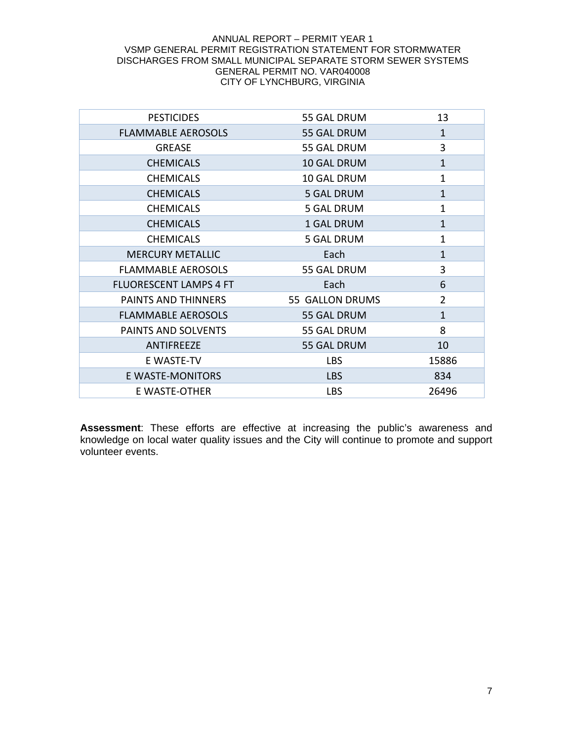| <b>PESTICIDES</b>             | 55 GAL DRUM        | 13             |
|-------------------------------|--------------------|----------------|
| <b>FLAMMABLE AEROSOLS</b>     | 55 GAL DRUM        | $\mathbf{1}$   |
| <b>GREASE</b>                 | 55 GAL DRUM        | 3              |
| <b>CHEMICALS</b>              | <b>10 GAL DRUM</b> | $\mathbf{1}$   |
| <b>CHEMICALS</b>              | 10 GAL DRUM        | $\mathbf{1}$   |
| <b>CHEMICALS</b>              | <b>5 GAL DRUM</b>  | $\mathbf{1}$   |
| <b>CHEMICALS</b>              | <b>5 GAL DRUM</b>  | 1              |
| <b>CHEMICALS</b>              | 1 GAL DRUM         | $\mathbf{1}$   |
| <b>CHEMICALS</b>              | <b>5 GAL DRUM</b>  | 1              |
| <b>MERCURY METALLIC</b>       | Each               | $\mathbf{1}$   |
| <b>FLAMMABLE AEROSOLS</b>     | 55 GAL DRUM        | 3              |
| <b>FLUORESCENT LAMPS 4 FT</b> | Each               | 6              |
| PAINTS AND THINNERS           | 55 GALLON DRUMS    | $\overline{2}$ |
| <b>FLAMMABLE AEROSOLS</b>     | 55 GAL DRUM        | $\mathbf{1}$   |
| PAINTS AND SOLVENTS           | 55 GAL DRUM        | 8              |
| ANTIFREEZE                    | 55 GAL DRUM        | 10             |
| E WASTE-TV                    | <b>LBS</b>         | 15886          |
| E WASTE-MONITORS              | <b>LBS</b>         | 834            |
| E WASTE-OTHER                 | <b>LBS</b>         | 26496          |

**Assessment**: These efforts are effective at increasing the public's awareness and knowledge on local water quality issues and the City will continue to promote and support volunteer events.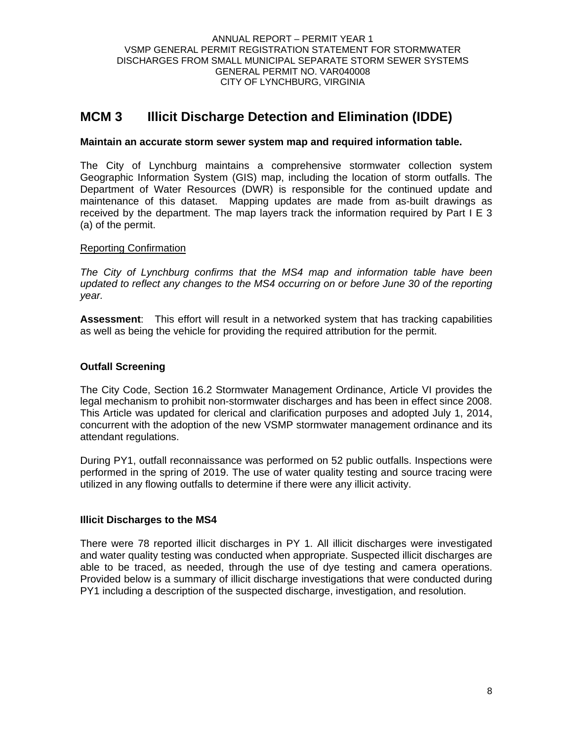## **MCM 3 Illicit Discharge Detection and Elimination (IDDE)**

## **Maintain an accurate storm sewer system map and required information table.**

The City of Lynchburg maintains a comprehensive stormwater collection system Geographic Information System (GIS) map, including the location of storm outfalls. The Department of Water Resources (DWR) is responsible for the continued update and maintenance of this dataset. Mapping updates are made from as-built drawings as received by the department. The map layers track the information required by Part I E 3 (a) of the permit.

### Reporting Confirmation

*The City of Lynchburg confirms that the MS4 map and information table have been updated to reflect any changes to the MS4 occurring on or before June 30 of the reporting year.* 

**Assessment**: This effort will result in a networked system that has tracking capabilities as well as being the vehicle for providing the required attribution for the permit.

## **Outfall Screening**

The City Code, Section 16.2 Stormwater Management Ordinance, Article VI provides the legal mechanism to prohibit non-stormwater discharges and has been in effect since 2008. This Article was updated for clerical and clarification purposes and adopted July 1, 2014, concurrent with the adoption of the new VSMP stormwater management ordinance and its attendant regulations.

During PY1, outfall reconnaissance was performed on 52 public outfalls. Inspections were performed in the spring of 2019. The use of water quality testing and source tracing were utilized in any flowing outfalls to determine if there were any illicit activity.

## **Illicit Discharges to the MS4**

There were 78 reported illicit discharges in PY 1. All illicit discharges were investigated and water quality testing was conducted when appropriate. Suspected illicit discharges are able to be traced, as needed, through the use of dye testing and camera operations. Provided below is a summary of illicit discharge investigations that were conducted during PY1 including a description of the suspected discharge, investigation, and resolution.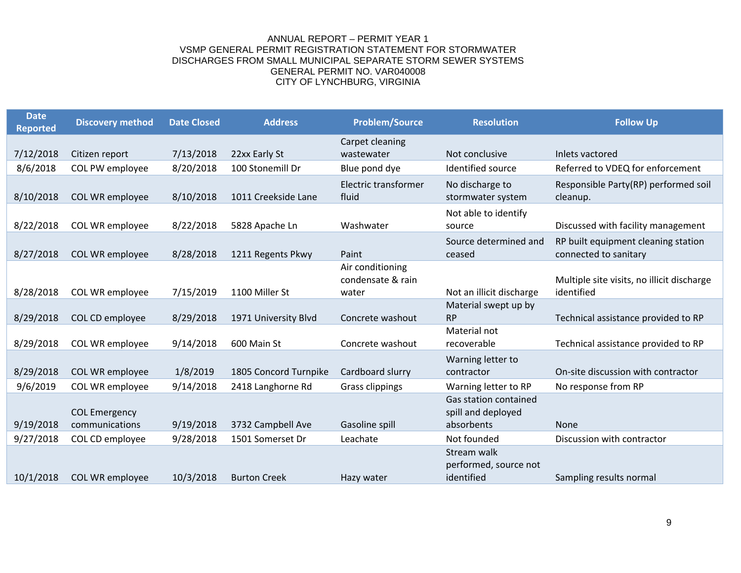| <b>Date</b><br><b>Reported</b> | <b>Discovery method</b> | <b>Date Closed</b> | <b>Address</b>        | <b>Problem/Source</b>                          | <b>Resolution</b>                                  | <b>Follow Up</b>                                             |
|--------------------------------|-------------------------|--------------------|-----------------------|------------------------------------------------|----------------------------------------------------|--------------------------------------------------------------|
|                                |                         |                    |                       | Carpet cleaning                                |                                                    |                                                              |
| 7/12/2018                      | Citizen report          | 7/13/2018          | 22xx Early St         | wastewater                                     | Not conclusive                                     | Inlets vactored                                              |
| 8/6/2018                       | COL PW employee         | 8/20/2018          | 100 Stonemill Dr      | Blue pond dye                                  | Identified source                                  | Referred to VDEQ for enforcement                             |
| 8/10/2018                      | COL WR employee         | 8/10/2018          | 1011 Creekside Lane   | Electric transformer<br>fluid                  | No discharge to<br>stormwater system               | Responsible Party(RP) performed soil<br>cleanup.             |
| 8/22/2018                      | COL WR employee         | 8/22/2018          | 5828 Apache Ln        | Washwater                                      | Not able to identify<br>source                     | Discussed with facility management                           |
| 8/27/2018                      | COL WR employee         | 8/28/2018          | 1211 Regents Pkwy     | Paint                                          | Source determined and<br>ceased                    | RP built equipment cleaning station<br>connected to sanitary |
| 8/28/2018                      | COL WR employee         | 7/15/2019          | 1100 Miller St        | Air conditioning<br>condensate & rain<br>water | Not an illicit discharge                           | Multiple site visits, no illicit discharge<br>identified     |
| 8/29/2018                      | COL CD employee         | 8/29/2018          | 1971 University Blvd  | Concrete washout                               | Material swept up by<br><b>RP</b>                  | Technical assistance provided to RP                          |
| 8/29/2018                      | COL WR employee         | 9/14/2018          | 600 Main St           | Concrete washout                               | Material not<br>recoverable                        | Technical assistance provided to RP                          |
| 8/29/2018                      | COL WR employee         | 1/8/2019           | 1805 Concord Turnpike | Cardboard slurry                               | Warning letter to<br>contractor                    | On-site discussion with contractor                           |
| 9/6/2019                       | COL WR employee         | 9/14/2018          | 2418 Langhorne Rd     | <b>Grass clippings</b>                         | Warning letter to RP                               | No response from RP                                          |
|                                | <b>COL Emergency</b>    |                    |                       |                                                | Gas station contained<br>spill and deployed        |                                                              |
| 9/19/2018                      | communications          | 9/19/2018          | 3732 Campbell Ave     | Gasoline spill                                 | absorbents                                         | <b>None</b>                                                  |
| 9/27/2018                      | COL CD employee         | 9/28/2018          | 1501 Somerset Dr      | Leachate                                       | Not founded                                        | Discussion with contractor                                   |
| 10/1/2018                      | COL WR employee         | 10/3/2018          | <b>Burton Creek</b>   | Hazy water                                     | Stream walk<br>performed, source not<br>identified | Sampling results normal                                      |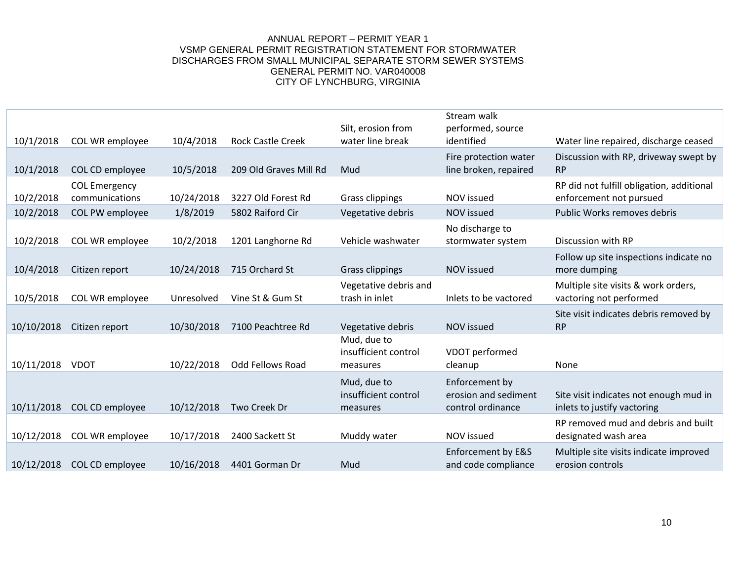| 10/1/2018  | COL WR employee                        | 10/4/2018  | <b>Rock Castle Creek</b> | Silt, erosion from<br>water line break          | Stream walk<br>performed, source<br>identified              | Water line repaired, discharge ceased                                 |
|------------|----------------------------------------|------------|--------------------------|-------------------------------------------------|-------------------------------------------------------------|-----------------------------------------------------------------------|
| 10/1/2018  | COL CD employee                        | 10/5/2018  | 209 Old Graves Mill Rd   | Mud                                             | Fire protection water<br>line broken, repaired              | Discussion with RP, driveway swept by<br><b>RP</b>                    |
| 10/2/2018  | <b>COL Emergency</b><br>communications | 10/24/2018 | 3227 Old Forest Rd       | Grass clippings                                 | NOV issued                                                  | RP did not fulfill obligation, additional<br>enforcement not pursued  |
| 10/2/2018  | COL PW employee                        | 1/8/2019   | 5802 Raiford Cir         | Vegetative debris                               | <b>NOV</b> issued                                           | Public Works removes debris                                           |
| 10/2/2018  | COL WR employee                        | 10/2/2018  | 1201 Langhorne Rd        | Vehicle washwater                               | No discharge to<br>stormwater system                        | Discussion with RP                                                    |
| 10/4/2018  | Citizen report                         | 10/24/2018 | 715 Orchard St           | <b>Grass clippings</b>                          | NOV issued                                                  | Follow up site inspections indicate no<br>more dumping                |
| 10/5/2018  | COL WR employee                        | Unresolved | Vine St & Gum St         | Vegetative debris and<br>trash in inlet         | Inlets to be vactored                                       | Multiple site visits & work orders,<br>vactoring not performed        |
| 10/10/2018 | Citizen report                         | 10/30/2018 | 7100 Peachtree Rd        | Vegetative debris                               | <b>NOV</b> issued                                           | Site visit indicates debris removed by<br><b>RP</b>                   |
| 10/11/2018 | <b>VDOT</b>                            | 10/22/2018 | <b>Odd Fellows Road</b>  | Mud, due to<br>insufficient control<br>measures | VDOT performed<br>cleanup                                   | None                                                                  |
| 10/11/2018 | COL CD employee                        | 10/12/2018 | Two Creek Dr             | Mud, due to<br>insufficient control<br>measures | Enforcement by<br>erosion and sediment<br>control ordinance | Site visit indicates not enough mud in<br>inlets to justify vactoring |
| 10/12/2018 | COL WR employee                        | 10/17/2018 | 2400 Sackett St          | Muddy water                                     | NOV issued                                                  | RP removed mud and debris and built<br>designated wash area           |
| 10/12/2018 | COL CD employee                        | 10/16/2018 | 4401 Gorman Dr           | Mud                                             | Enforcement by E&S<br>and code compliance                   | Multiple site visits indicate improved<br>erosion controls            |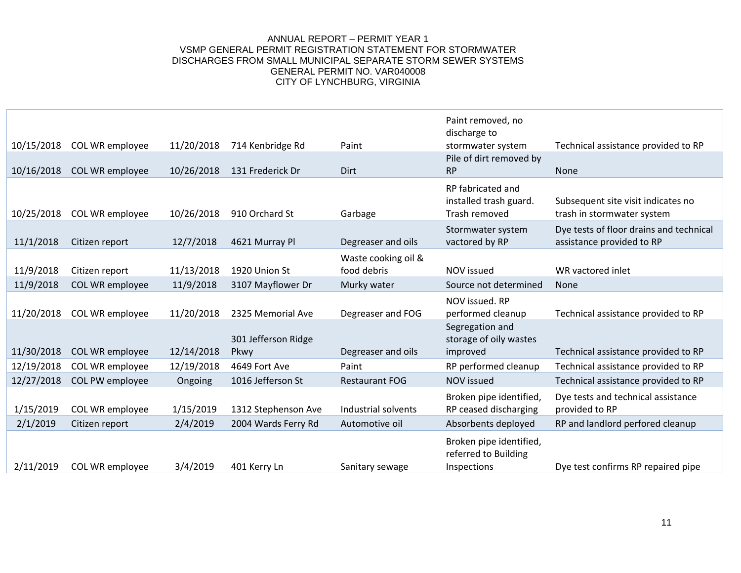|            |                 |            |                             |                       | Paint removed, no<br>discharge to                              |                                                                      |
|------------|-----------------|------------|-----------------------------|-----------------------|----------------------------------------------------------------|----------------------------------------------------------------------|
| 10/15/2018 | COL WR employee | 11/20/2018 | 714 Kenbridge Rd            | Paint                 | stormwater system                                              | Technical assistance provided to RP                                  |
| 10/16/2018 | COL WR employee | 10/26/2018 | 131 Frederick Dr            | Dirt                  | Pile of dirt removed by<br>RP                                  | <b>None</b>                                                          |
| 10/25/2018 | COL WR employee | 10/26/2018 | 910 Orchard St              | Garbage               | RP fabricated and<br>installed trash guard.<br>Trash removed   | Subsequent site visit indicates no<br>trash in stormwater system     |
| 11/1/2018  | Citizen report  | 12/7/2018  | 4621 Murray Pl              | Degreaser and oils    | Stormwater system<br>vactored by RP                            | Dye tests of floor drains and technical<br>assistance provided to RP |
|            |                 |            |                             | Waste cooking oil &   |                                                                |                                                                      |
| 11/9/2018  | Citizen report  | 11/13/2018 | 1920 Union St               | food debris           | <b>NOV</b> issued                                              | WR vactored inlet                                                    |
| 11/9/2018  | COL WR employee | 11/9/2018  | 3107 Mayflower Dr           | Murky water           | Source not determined                                          | <b>None</b>                                                          |
|            |                 |            |                             |                       | NOV issued. RP                                                 |                                                                      |
| 11/20/2018 | COL WR employee | 11/20/2018 | 2325 Memorial Ave           | Degreaser and FOG     | performed cleanup                                              | Technical assistance provided to RP                                  |
| 11/30/2018 | COL WR employee | 12/14/2018 | 301 Jefferson Ridge<br>Pkwy | Degreaser and oils    | Segregation and<br>storage of oily wastes<br>improved          | Technical assistance provided to RP                                  |
| 12/19/2018 | COL WR employee | 12/19/2018 | 4649 Fort Ave               | Paint                 | RP performed cleanup                                           | Technical assistance provided to RP                                  |
| 12/27/2018 | COL PW employee | Ongoing    | 1016 Jefferson St           | <b>Restaurant FOG</b> | <b>NOV</b> issued                                              | Technical assistance provided to RP                                  |
| 1/15/2019  | COL WR employee | 1/15/2019  | 1312 Stephenson Ave         | Industrial solvents   | Broken pipe identified,<br>RP ceased discharging               | Dye tests and technical assistance<br>provided to RP                 |
| 2/1/2019   | Citizen report  | 2/4/2019   | 2004 Wards Ferry Rd         | Automotive oil        | Absorbents deployed                                            | RP and landlord perfored cleanup                                     |
| 2/11/2019  | COL WR employee | 3/4/2019   | 401 Kerry Ln                | Sanitary sewage       | Broken pipe identified,<br>referred to Building<br>Inspections | Dye test confirms RP repaired pipe                                   |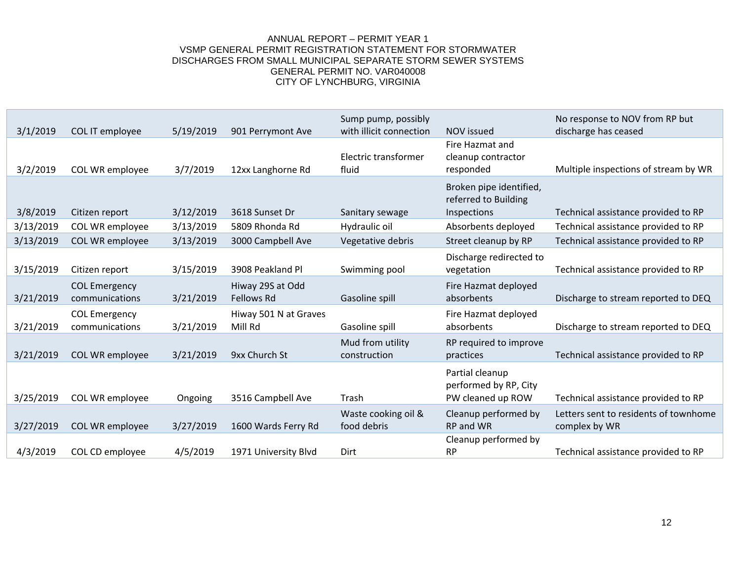| 3/1/2019  | COL IT employee                        | 5/19/2019 | 901 Perrymont Ave                     | Sump pump, possibly<br>with illicit connection | <b>NOV</b> issued                                              | No response to NOV from RP but<br>discharge has ceased |
|-----------|----------------------------------------|-----------|---------------------------------------|------------------------------------------------|----------------------------------------------------------------|--------------------------------------------------------|
| 3/2/2019  | COL WR employee                        | 3/7/2019  | 12xx Langhorne Rd                     | Electric transformer<br>fluid                  | Fire Hazmat and<br>cleanup contractor<br>responded             | Multiple inspections of stream by WR                   |
| 3/8/2019  | Citizen report                         | 3/12/2019 | 3618 Sunset Dr                        | Sanitary sewage                                | Broken pipe identified,<br>referred to Building<br>Inspections | Technical assistance provided to RP                    |
| 3/13/2019 | COL WR employee                        | 3/13/2019 | 5809 Rhonda Rd                        | Hydraulic oil                                  | Absorbents deployed                                            | Technical assistance provided to RP                    |
| 3/13/2019 | COL WR employee                        | 3/13/2019 | 3000 Campbell Ave                     | Vegetative debris                              | Street cleanup by RP                                           | Technical assistance provided to RP                    |
| 3/15/2019 | Citizen report                         | 3/15/2019 | 3908 Peakland Pl                      | Swimming pool                                  | Discharge redirected to<br>vegetation                          | Technical assistance provided to RP                    |
| 3/21/2019 | <b>COL Emergency</b><br>communications | 3/21/2019 | Hiway 29S at Odd<br><b>Fellows Rd</b> | Gasoline spill                                 | Fire Hazmat deployed<br>absorbents                             | Discharge to stream reported to DEQ                    |
| 3/21/2019 | <b>COL Emergency</b><br>communications | 3/21/2019 | Hiway 501 N at Graves<br>Mill Rd      | Gasoline spill                                 | Fire Hazmat deployed<br>absorbents                             | Discharge to stream reported to DEQ                    |
| 3/21/2019 | COL WR employee                        | 3/21/2019 | 9xx Church St                         | Mud from utility<br>construction               | RP required to improve<br>practices                            | Technical assistance provided to RP                    |
| 3/25/2019 | COL WR employee                        | Ongoing   | 3516 Campbell Ave                     | Trash                                          | Partial cleanup<br>performed by RP, City<br>PW cleaned up ROW  | Technical assistance provided to RP                    |
| 3/27/2019 | COL WR employee                        | 3/27/2019 | 1600 Wards Ferry Rd                   | Waste cooking oil &<br>food debris             | Cleanup performed by<br>RP and WR                              | Letters sent to residents of townhome<br>complex by WR |
| 4/3/2019  | COL CD employee                        | 4/5/2019  | 1971 University Blvd                  | Dirt                                           | Cleanup performed by<br><b>RP</b>                              | Technical assistance provided to RP                    |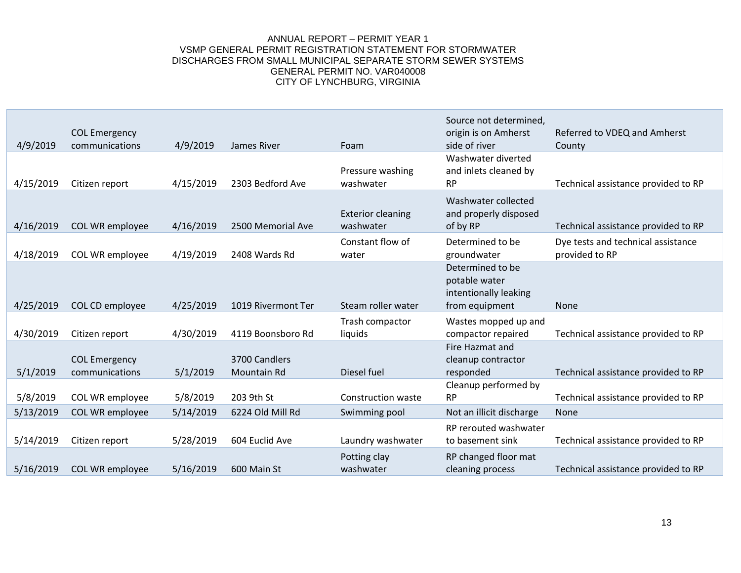| 4/9/2019  | <b>COL Emergency</b><br>communications | 4/9/2019  | James River                  | Foam                                  | Source not determined,<br>origin is on Amherst<br>side of river              | Referred to VDEQ and Amherst<br>County               |
|-----------|----------------------------------------|-----------|------------------------------|---------------------------------------|------------------------------------------------------------------------------|------------------------------------------------------|
| 4/15/2019 | Citizen report                         | 4/15/2019 | 2303 Bedford Ave             | Pressure washing<br>washwater         | Washwater diverted<br>and inlets cleaned by<br><b>RP</b>                     | Technical assistance provided to RP                  |
| 4/16/2019 | COL WR employee                        | 4/16/2019 | 2500 Memorial Ave            | <b>Exterior cleaning</b><br>washwater | Washwater collected<br>and properly disposed<br>of by RP                     | Technical assistance provided to RP                  |
| 4/18/2019 | COL WR employee                        | 4/19/2019 | 2408 Wards Rd                | Constant flow of<br>water             | Determined to be<br>groundwater                                              | Dye tests and technical assistance<br>provided to RP |
| 4/25/2019 | COL CD employee                        | 4/25/2019 | 1019 Rivermont Ter           | Steam roller water                    | Determined to be<br>potable water<br>intentionally leaking<br>from equipment | <b>None</b>                                          |
| 4/30/2019 | Citizen report                         | 4/30/2019 | 4119 Boonsboro Rd            | Trash compactor<br>liquids            | Wastes mopped up and<br>compactor repaired                                   | Technical assistance provided to RP                  |
| 5/1/2019  | <b>COL Emergency</b><br>communications | 5/1/2019  | 3700 Candlers<br>Mountain Rd | Diesel fuel                           | Fire Hazmat and<br>cleanup contractor<br>responded                           | Technical assistance provided to RP                  |
| 5/8/2019  | COL WR employee                        | 5/8/2019  | 203 9th St                   | Construction waste                    | Cleanup performed by<br><b>RP</b>                                            | Technical assistance provided to RP                  |
| 5/13/2019 | COL WR employee                        | 5/14/2019 | 6224 Old Mill Rd             | Swimming pool                         | Not an illicit discharge                                                     | None                                                 |
| 5/14/2019 | Citizen report                         | 5/28/2019 | 604 Euclid Ave               | Laundry washwater                     | RP rerouted washwater<br>to basement sink                                    | Technical assistance provided to RP                  |
| 5/16/2019 | COL WR employee                        | 5/16/2019 | 600 Main St                  | Potting clay<br>washwater             | RP changed floor mat<br>cleaning process                                     | Technical assistance provided to RP                  |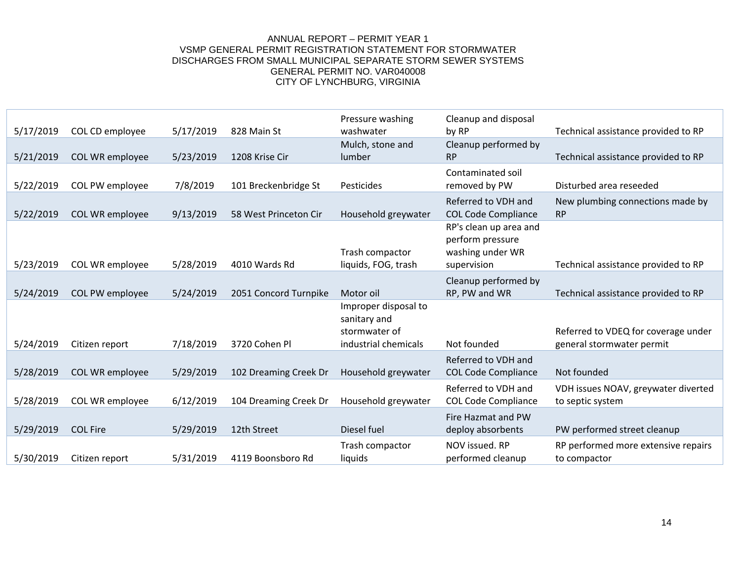| 5/17/2019 | COL CD employee | 5/17/2019 | 828 Main St           | Pressure washing<br>washwater                                                 | Cleanup and disposal<br>by RP                                                 | Technical assistance provided to RP                              |
|-----------|-----------------|-----------|-----------------------|-------------------------------------------------------------------------------|-------------------------------------------------------------------------------|------------------------------------------------------------------|
| 5/21/2019 | COL WR employee | 5/23/2019 | 1208 Krise Cir        | Mulch, stone and<br>lumber                                                    | Cleanup performed by<br><b>RP</b>                                             | Technical assistance provided to RP                              |
| 5/22/2019 | COL PW employee | 7/8/2019  | 101 Breckenbridge St  | Pesticides                                                                    | Contaminated soil<br>removed by PW                                            | Disturbed area reseeded                                          |
| 5/22/2019 | COL WR employee | 9/13/2019 | 58 West Princeton Cir | Household greywater                                                           | Referred to VDH and<br><b>COL Code Compliance</b>                             | New plumbing connections made by<br><b>RP</b>                    |
| 5/23/2019 | COL WR employee | 5/28/2019 | 4010 Wards Rd         | Trash compactor<br>liquids, FOG, trash                                        | RP's clean up area and<br>perform pressure<br>washing under WR<br>supervision | Technical assistance provided to RP                              |
| 5/24/2019 | COL PW employee | 5/24/2019 | 2051 Concord Turnpike | Motor oil                                                                     | Cleanup performed by<br>RP, PW and WR                                         | Technical assistance provided to RP                              |
| 5/24/2019 | Citizen report  | 7/18/2019 | 3720 Cohen Pl         | Improper disposal to<br>sanitary and<br>stormwater of<br>industrial chemicals | Not founded                                                                   | Referred to VDEQ for coverage under<br>general stormwater permit |
| 5/28/2019 | COL WR employee | 5/29/2019 | 102 Dreaming Creek Dr | Household greywater                                                           | Referred to VDH and<br><b>COL Code Compliance</b>                             | Not founded                                                      |
| 5/28/2019 | COL WR employee | 6/12/2019 | 104 Dreaming Creek Dr | Household greywater                                                           | Referred to VDH and<br><b>COL Code Compliance</b>                             | VDH issues NOAV, greywater diverted<br>to septic system          |
| 5/29/2019 | <b>COL Fire</b> | 5/29/2019 | 12th Street           | Diesel fuel                                                                   | Fire Hazmat and PW<br>deploy absorbents                                       | PW performed street cleanup                                      |
| 5/30/2019 | Citizen report  | 5/31/2019 | 4119 Boonsboro Rd     | Trash compactor<br>liquids                                                    | NOV issued. RP<br>performed cleanup                                           | RP performed more extensive repairs<br>to compactor              |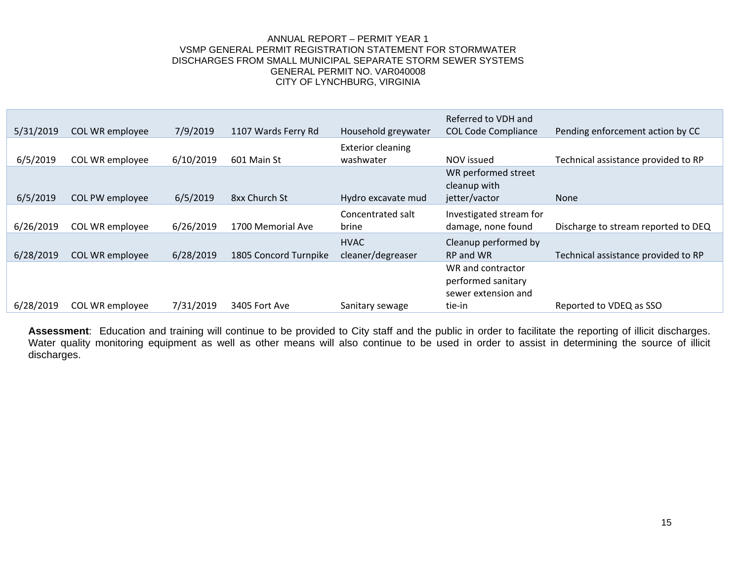| 5/31/2019 | COL WR employee | 7/9/2019  | 1107 Wards Ferry Rd   | Household greywater                   | Referred to VDH and<br><b>COL Code Compliance</b>              | Pending enforcement action by CC    |
|-----------|-----------------|-----------|-----------------------|---------------------------------------|----------------------------------------------------------------|-------------------------------------|
| 6/5/2019  | COL WR employee | 6/10/2019 | 601 Main St           | <b>Exterior cleaning</b><br>washwater | NOV issued                                                     | Technical assistance provided to RP |
|           |                 |           |                       |                                       | WR performed street<br>cleanup with                            |                                     |
| 6/5/2019  | COL PW employee | 6/5/2019  | 8xx Church St         | Hydro excavate mud                    | jetter/vactor                                                  | <b>None</b>                         |
| 6/26/2019 | COL WR employee | 6/26/2019 | 1700 Memorial Ave     | Concentrated salt<br>brine            | Investigated stream for<br>damage, none found                  | Discharge to stream reported to DEQ |
| 6/28/2019 | COL WR employee | 6/28/2019 | 1805 Concord Turnpike | <b>HVAC</b><br>cleaner/degreaser      | Cleanup performed by<br>RP and WR                              | Technical assistance provided to RP |
|           |                 |           |                       |                                       | WR and contractor<br>performed sanitary<br>sewer extension and |                                     |
| 6/28/2019 | COL WR employee | 7/31/2019 | 3405 Fort Ave         | Sanitary sewage                       | tie-in                                                         | Reported to VDEQ as SSO             |

Assessment: Education and training will continue to be provided to City staff and the public in order to facilitate the reporting of illicit discharges. Water quality monitoring equipment as well as other means will also continue to be used in order to assist in determining the source of illicit discharges.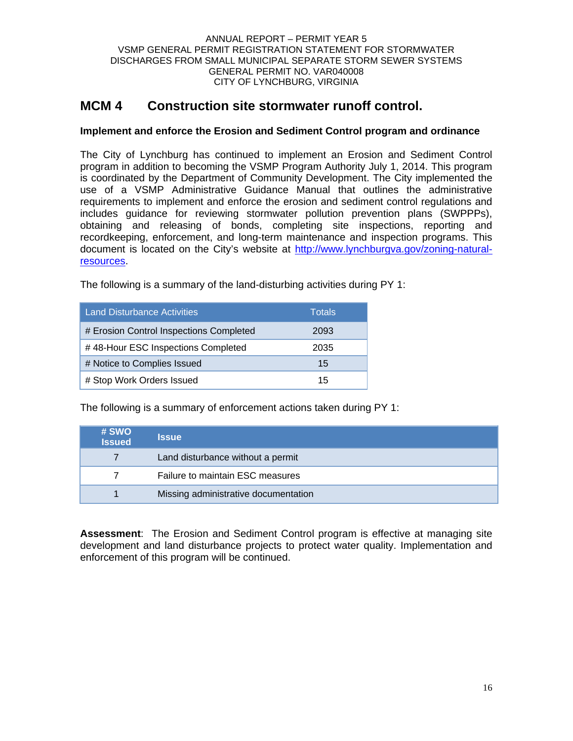## **MCM 4 Construction site stormwater runoff control.**

## **Implement and enforce the Erosion and Sediment Control program and ordinance**

The City of Lynchburg has continued to implement an Erosion and Sediment Control program in addition to becoming the VSMP Program Authority July 1, 2014. This program is coordinated by the Department of Community Development. The City implemented the use of a VSMP Administrative Guidance Manual that outlines the administrative requirements to implement and enforce the erosion and sediment control regulations and includes guidance for reviewing stormwater pollution prevention plans (SWPPPs), obtaining and releasing of bonds, completing site inspections, reporting and recordkeeping, enforcement, and long-term maintenance and inspection programs. This document is located on the City's website at http://www.lynchburgva.gov/zoning-naturalresources.

The following is a summary of the land-disturbing activities during PY 1:

| <b>Land Disturbance Activities</b>      | Totals |
|-----------------------------------------|--------|
| # Erosion Control Inspections Completed | 2093   |
| #48-Hour ESC Inspections Completed      | 2035   |
| # Notice to Complies Issued             | 15     |
| # Stop Work Orders Issued               | 15     |

The following is a summary of enforcement actions taken during PY 1:

| # SWO<br><b>Issued</b> | <b>Issue</b>                         |
|------------------------|--------------------------------------|
|                        | Land disturbance without a permit    |
|                        | Failure to maintain ESC measures     |
|                        | Missing administrative documentation |

**Assessment**: The Erosion and Sediment Control program is effective at managing site development and land disturbance projects to protect water quality. Implementation and enforcement of this program will be continued.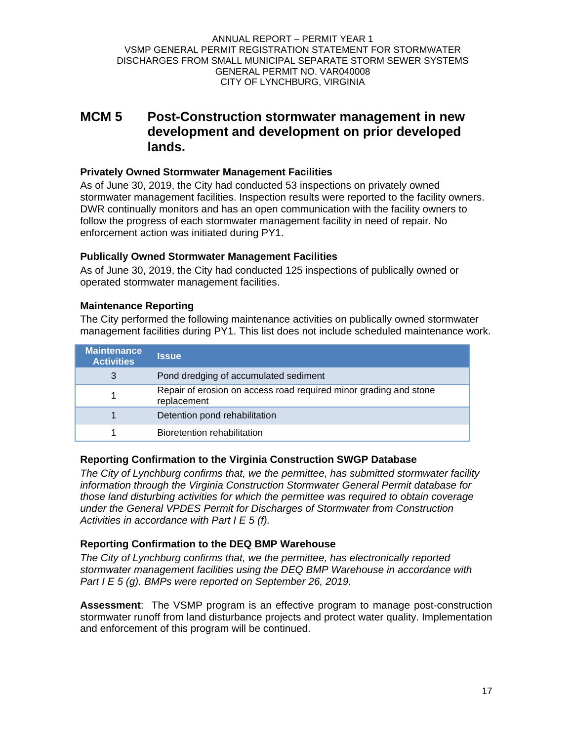## **MCM 5 Post-Construction stormwater management in new development and development on prior developed lands.**

## **Privately Owned Stormwater Management Facilities**

As of June 30, 2019, the City had conducted 53 inspections on privately owned stormwater management facilities. Inspection results were reported to the facility owners. DWR continually monitors and has an open communication with the facility owners to follow the progress of each stormwater management facility in need of repair. No enforcement action was initiated during PY1.

## **Publically Owned Stormwater Management Facilities**

As of June 30, 2019, the City had conducted 125 inspections of publically owned or operated stormwater management facilities.

## **Maintenance Reporting**

The City performed the following maintenance activities on publically owned stormwater management facilities during PY1. This list does not include scheduled maintenance work.

| <b>Maintenance</b><br><b>Activities</b> | <b>Issue</b>                                                                     |
|-----------------------------------------|----------------------------------------------------------------------------------|
| 3                                       | Pond dredging of accumulated sediment                                            |
|                                         | Repair of erosion on access road required minor grading and stone<br>replacement |
|                                         | Detention pond rehabilitation                                                    |
|                                         | Bioretention rehabilitation                                                      |

## **Reporting Confirmation to the Virginia Construction SWGP Database**

*The City of Lynchburg confirms that, we the permittee, has submitted stormwater facility information through the Virginia Construction Stormwater General Permit database for those land disturbing activities for which the permittee was required to obtain coverage under the General VPDES Permit for Discharges of Stormwater from Construction Activities in accordance with Part I E 5 (f).* 

## **Reporting Confirmation to the DEQ BMP Warehouse**

*The City of Lynchburg confirms that, we the permittee, has electronically reported stormwater management facilities using the DEQ BMP Warehouse in accordance with Part I E 5 (g). BMPs were reported on September 26, 2019.* 

**Assessment**: The VSMP program is an effective program to manage post-construction stormwater runoff from land disturbance projects and protect water quality. Implementation and enforcement of this program will be continued.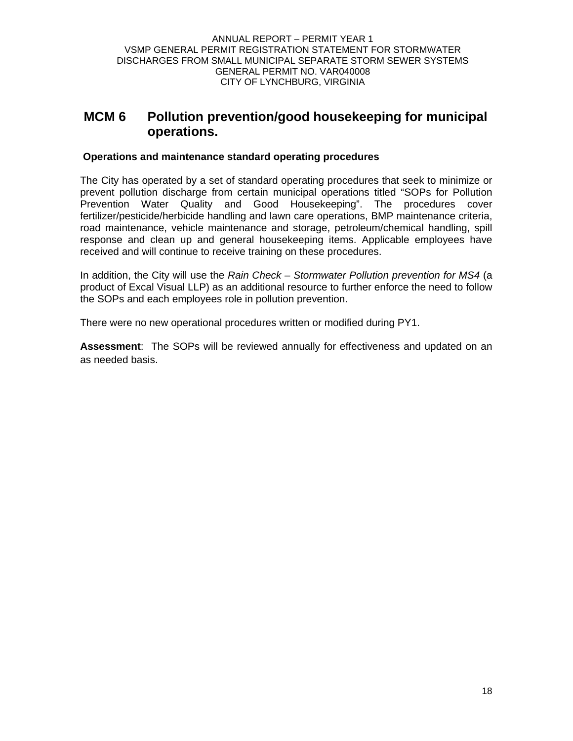## **MCM 6 Pollution prevention/good housekeeping for municipal operations.**

## **Operations and maintenance standard operating procedures**

The City has operated by a set of standard operating procedures that seek to minimize or prevent pollution discharge from certain municipal operations titled "SOPs for Pollution Prevention Water Quality and Good Housekeeping". The procedures cover fertilizer/pesticide/herbicide handling and lawn care operations, BMP maintenance criteria, road maintenance, vehicle maintenance and storage, petroleum/chemical handling, spill response and clean up and general housekeeping items. Applicable employees have received and will continue to receive training on these procedures.

In addition, the City will use the *Rain Check – Stormwater Pollution prevention for MS4* (a product of Excal Visual LLP) as an additional resource to further enforce the need to follow the SOPs and each employees role in pollution prevention.

There were no new operational procedures written or modified during PY1.

**Assessment**: The SOPs will be reviewed annually for effectiveness and updated on an as needed basis.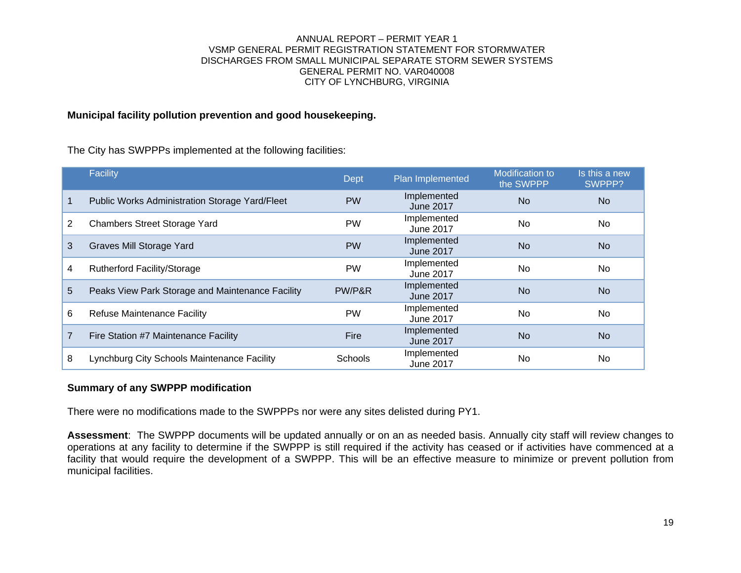## **Municipal facility pollution prevention and good housekeeping.**

The City has SWPPPs implemented at the following facilities:

|    | Facility                                         | <b>Dept</b> | Plan Implemented                | <b>Modification to</b><br>the SWPPP | Is this a new<br>SWPPP? |
|----|--------------------------------------------------|-------------|---------------------------------|-------------------------------------|-------------------------|
|    | Public Works Administration Storage Yard/Fleet   | <b>PW</b>   | Implemented<br><b>June 2017</b> | <b>No</b>                           | No.                     |
| 2  | <b>Chambers Street Storage Yard</b>              | <b>PW</b>   | Implemented<br><b>June 2017</b> | <b>No</b>                           | No.                     |
| 3  | Graves Mill Storage Yard                         | <b>PW</b>   | Implemented<br><b>June 2017</b> | <b>No</b>                           | No.                     |
| 4  | <b>Rutherford Facility/Storage</b>               | <b>PW</b>   | Implemented<br>June 2017        | <b>No</b>                           | No.                     |
| 5. | Peaks View Park Storage and Maintenance Facility | PW/P&R      | Implemented<br><b>June 2017</b> | <b>No</b>                           | No                      |
| 6  | <b>Refuse Maintenance Facility</b>               | <b>PW</b>   | Implemented<br>June 2017        | No                                  | <b>No</b>               |
| 7  | Fire Station #7 Maintenance Facility             | Fire        | Implemented<br><b>June 2017</b> | <b>No</b>                           | No.                     |
| 8  | Lynchburg City Schools Maintenance Facility      | Schools     | Implemented<br><b>June 2017</b> | No.                                 | No.                     |

### **Summary of any SWPPP modification**

There were no modifications made to the SWPPPs nor were any sites delisted during PY1.

**Assessment**: The SWPPP documents will be updated annually or on an as needed basis. Annually city staff will review changes to operations at any facility to determine if the SWPPP is still required if the activity has ceased or if activities have commenced at a facility that would require the development of a SWPPP. This will be an effective measure to minimize or prevent pollution from municipal facilities.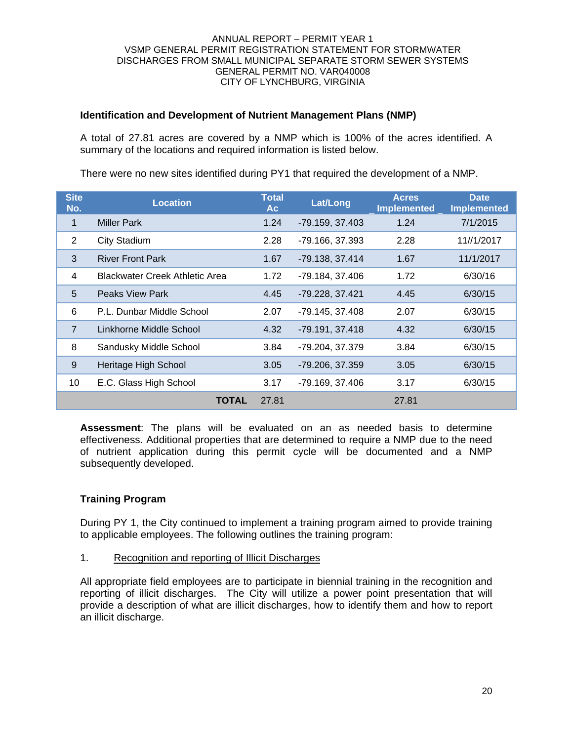## **Identification and Development of Nutrient Management Plans (NMP)**

A total of 27.81 acres are covered by a NMP which is 100% of the acres identified. A summary of the locations and required information is listed below.

| <b>Site</b><br>No. | <b>Location</b>                       | <b>Total</b><br><b>Ac</b> | Lat/Long        | <b>Acres</b><br><b>Implemented</b> | <b>Date</b><br><b>Implemented</b> |
|--------------------|---------------------------------------|---------------------------|-----------------|------------------------------------|-----------------------------------|
| $\mathbf{1}$       | Miller Park                           | 1.24                      | -79.159, 37.403 | 1.24                               | 7/1/2015                          |
| $\overline{2}$     | <b>City Stadium</b>                   | 2.28                      | -79.166, 37.393 | 2.28                               | 11//1/2017                        |
| 3                  | <b>River Front Park</b>               | 1.67                      | -79.138, 37.414 | 1.67                               | 11/1/2017                         |
| 4                  | <b>Blackwater Creek Athletic Area</b> | 1.72                      | -79.184, 37.406 | 1.72                               | 6/30/16                           |
| 5                  | <b>Peaks View Park</b>                | 4.45                      | -79.228, 37.421 | 4.45                               | 6/30/15                           |
| 6                  | P.L. Dunbar Middle School             | 2.07                      | -79.145, 37.408 | 2.07                               | 6/30/15                           |
| $\overline{7}$     | Linkhorne Middle School               | 4.32                      | -79.191, 37.418 | 4.32                               | 6/30/15                           |
| 8                  | Sandusky Middle School                | 3.84                      | -79.204, 37.379 | 3.84                               | 6/30/15                           |
| 9                  | Heritage High School                  | 3.05                      | -79.206, 37.359 | 3.05                               | 6/30/15                           |
| 10                 | E.C. Glass High School                | 3.17                      | -79.169, 37.406 | 3.17                               | 6/30/15                           |
|                    | TOTAL                                 | 27.81                     |                 | 27.81                              |                                   |

There were no new sites identified during PY1 that required the development of a NMP.

**Assessment**: The plans will be evaluated on an as needed basis to determine effectiveness. Additional properties that are determined to require a NMP due to the need of nutrient application during this permit cycle will be documented and a NMP subsequently developed.

## **Training Program**

During PY 1, the City continued to implement a training program aimed to provide training to applicable employees. The following outlines the training program:

1. Recognition and reporting of Illicit Discharges

All appropriate field employees are to participate in biennial training in the recognition and reporting of illicit discharges. The City will utilize a power point presentation that will provide a description of what are illicit discharges, how to identify them and how to report an illicit discharge.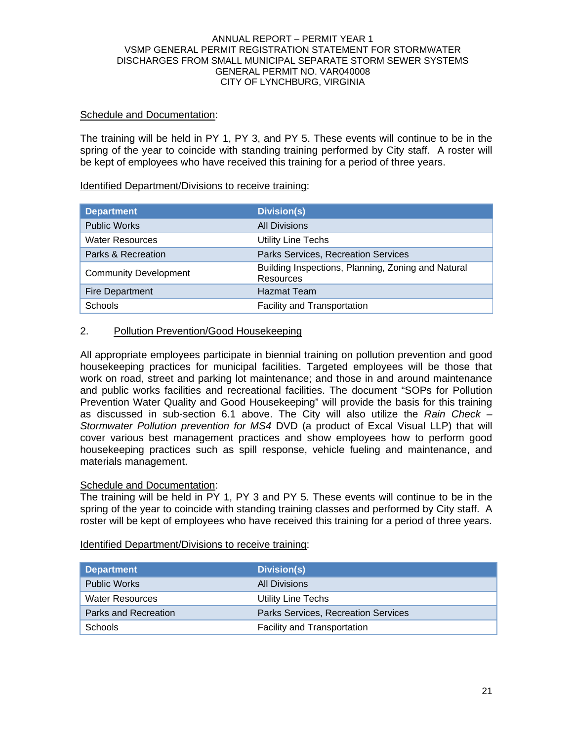## Schedule and Documentation:

The training will be held in PY 1, PY 3, and PY 5. These events will continue to be in the spring of the year to coincide with standing training performed by City staff. A roster will be kept of employees who have received this training for a period of three years.

### Identified Department/Divisions to receive training:

| <b>Department</b>            | <b>Division(s)</b>                                              |
|------------------------------|-----------------------------------------------------------------|
| <b>Public Works</b>          | <b>All Divisions</b>                                            |
| <b>Water Resources</b>       | <b>Utility Line Techs</b>                                       |
| Parks & Recreation           | Parks Services, Recreation Services                             |
| <b>Community Development</b> | Building Inspections, Planning, Zoning and Natural<br>Resources |
| <b>Fire Department</b>       | <b>Hazmat Team</b>                                              |
| <b>Schools</b>               | <b>Facility and Transportation</b>                              |

## 2. Pollution Prevention/Good Housekeeping

All appropriate employees participate in biennial training on pollution prevention and good housekeeping practices for municipal facilities. Targeted employees will be those that work on road, street and parking lot maintenance; and those in and around maintenance and public works facilities and recreational facilities. The document "SOPs for Pollution Prevention Water Quality and Good Housekeeping" will provide the basis for this training as discussed in sub-section 6.1 above. The City will also utilize the *Rain Check – Stormwater Pollution prevention for MS4* DVD (a product of Excal Visual LLP) that will cover various best management practices and show employees how to perform good housekeeping practices such as spill response, vehicle fueling and maintenance, and materials management.

## Schedule and Documentation:

The training will be held in PY 1, PY 3 and PY 5. These events will continue to be in the spring of the year to coincide with standing training classes and performed by City staff. A roster will be kept of employees who have received this training for a period of three years.

### Identified Department/Divisions to receive training:

| Department             | Division(s)                         |
|------------------------|-------------------------------------|
| <b>Public Works</b>    | All Divisions                       |
| <b>Water Resources</b> | Utility Line Techs                  |
| Parks and Recreation   | Parks Services, Recreation Services |
| <b>Schools</b>         | <b>Facility and Transportation</b>  |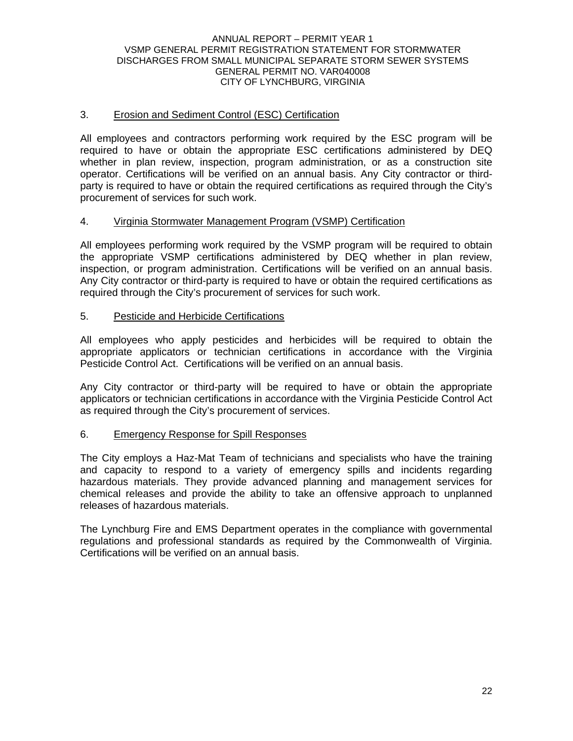## 3. Erosion and Sediment Control (ESC) Certification

All employees and contractors performing work required by the ESC program will be required to have or obtain the appropriate ESC certifications administered by DEQ whether in plan review, inspection, program administration, or as a construction site operator. Certifications will be verified on an annual basis. Any City contractor or thirdparty is required to have or obtain the required certifications as required through the City's procurement of services for such work.

### 4. Virginia Stormwater Management Program (VSMP) Certification

All employees performing work required by the VSMP program will be required to obtain the appropriate VSMP certifications administered by DEQ whether in plan review, inspection, or program administration. Certifications will be verified on an annual basis. Any City contractor or third-party is required to have or obtain the required certifications as required through the City's procurement of services for such work.

### 5. Pesticide and Herbicide Certifications

All employees who apply pesticides and herbicides will be required to obtain the appropriate applicators or technician certifications in accordance with the Virginia Pesticide Control Act. Certifications will be verified on an annual basis.

Any City contractor or third-party will be required to have or obtain the appropriate applicators or technician certifications in accordance with the Virginia Pesticide Control Act as required through the City's procurement of services.

### 6. Emergency Response for Spill Responses

The City employs a Haz-Mat Team of technicians and specialists who have the training and capacity to respond to a variety of emergency spills and incidents regarding hazardous materials. They provide advanced planning and management services for chemical releases and provide the ability to take an offensive approach to unplanned releases of hazardous materials.

The Lynchburg Fire and EMS Department operates in the compliance with governmental regulations and professional standards as required by the Commonwealth of Virginia. Certifications will be verified on an annual basis.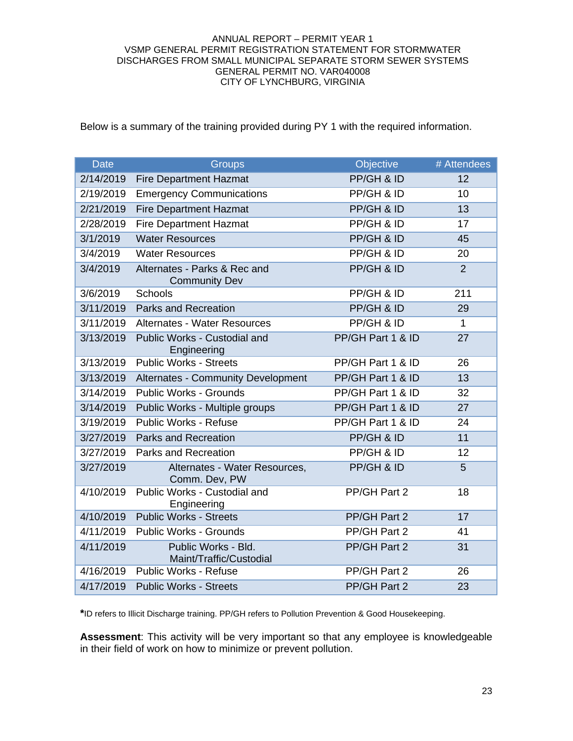Below is a summary of the training provided during PY 1 with the required information.

| <b>Date</b> | <b>Groups</b>                                        | Objective         | # Attendees    |
|-------------|------------------------------------------------------|-------------------|----------------|
| 2/14/2019   | <b>Fire Department Hazmat</b>                        | PP/GH & ID        | 12             |
| 2/19/2019   | <b>Emergency Communications</b>                      | PP/GH & ID        | 10             |
| 2/21/2019   | <b>Fire Department Hazmat</b>                        | PP/GH & ID        | 13             |
| 2/28/2019   | <b>Fire Department Hazmat</b>                        | PP/GH & ID        | 17             |
| 3/1/2019    | <b>Water Resources</b>                               | PP/GH & ID        | 45             |
| 3/4/2019    | <b>Water Resources</b>                               | PP/GH & ID        | 20             |
| 3/4/2019    | Alternates - Parks & Rec and<br><b>Community Dev</b> | PP/GH & ID        | $\overline{2}$ |
| 3/6/2019    | Schools                                              | PP/GH & ID        | 211            |
| 3/11/2019   | <b>Parks and Recreation</b>                          | PP/GH & ID        | 29             |
| 3/11/2019   | Alternates - Water Resources                         | PP/GH & ID        | $\mathbf{1}$   |
| 3/13/2019   | Public Works - Custodial and<br>Engineering          | PP/GH Part 1 & ID | 27             |
| 3/13/2019   | <b>Public Works - Streets</b>                        | PP/GH Part 1 & ID | 26             |
| 3/13/2019   | <b>Alternates - Community Development</b>            | PP/GH Part 1 & ID | 13             |
| 3/14/2019   | <b>Public Works - Grounds</b>                        | PP/GH Part 1 & ID | 32             |
| 3/14/2019   | Public Works - Multiple groups                       | PP/GH Part 1 & ID | 27             |
| 3/19/2019   | <b>Public Works - Refuse</b>                         | PP/GH Part 1 & ID | 24             |
| 3/27/2019   | <b>Parks and Recreation</b>                          | PP/GH & ID        | 11             |
| 3/27/2019   | Parks and Recreation                                 | PP/GH & ID        | 12             |
| 3/27/2019   | Alternates - Water Resources,<br>Comm. Dev, PW       | PP/GH & ID        | 5              |
| 4/10/2019   | Public Works - Custodial and<br>Engineering          | PP/GH Part 2      | 18             |
| 4/10/2019   | <b>Public Works - Streets</b>                        | PP/GH Part 2      | 17             |
| 4/11/2019   | <b>Public Works - Grounds</b>                        | PP/GH Part 2      | 41             |
| 4/11/2019   | Public Works - Bld.<br>Maint/Traffic/Custodial       | PP/GH Part 2      | 31             |
| 4/16/2019   | Public Works - Refuse                                | PP/GH Part 2      | 26             |
| 4/17/2019   | <b>Public Works - Streets</b>                        | PP/GH Part 2      | 23             |

**\***ID refers to Illicit Discharge training. PP/GH refers to Pollution Prevention & Good Housekeeping.

**Assessment**: This activity will be very important so that any employee is knowledgeable in their field of work on how to minimize or prevent pollution.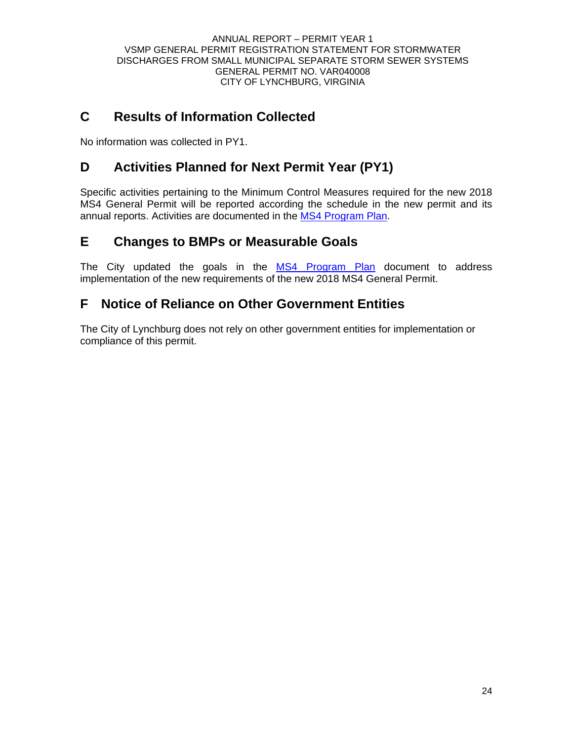## **C Results of Information Collected**

No information was collected in PY1.

## **D Activities Planned for Next Permit Year (PY1)**

Specific activities pertaining to the Minimum Control Measures required for the new 2018 MS4 General Permit will be reported according the schedule in the new permit and its annual reports. Activities are documented in the MS4 Program Plan.

## **E Changes to BMPs or Measurable Goals**

The City updated the goals in the MS4 Program Plan document to address implementation of the new requirements of the new 2018 MS4 General Permit.

## **F Notice of Reliance on Other Government Entities**

The City of Lynchburg does not rely on other government entities for implementation or compliance of this permit.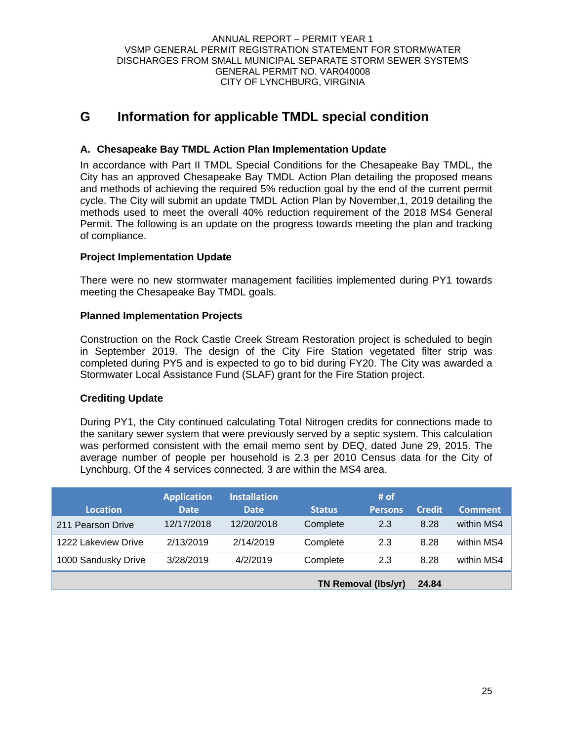## **G Information for applicable TMDL special condition**

## **A. Chesapeake Bay TMDL Action Plan Implementation Update**

In accordance with Part II TMDL Special Conditions for the Chesapeake Bay TMDL, the City has an approved Chesapeake Bay TMDL Action Plan detailing the proposed means and methods of achieving the required 5% reduction goal by the end of the current permit cycle. The City will submit an update TMDL Action Plan by November,1, 2019 detailing the methods used to meet the overall 40% reduction requirement of the 2018 MS4 General Permit. The following is an update on the progress towards meeting the plan and tracking of compliance.

## **Project Implementation Update**

There were no new stormwater management facilities implemented during PY1 towards meeting the Chesapeake Bay TMDL goals.

## **Planned Implementation Projects**

Construction on the Rock Castle Creek Stream Restoration project is scheduled to begin in September 2019. The design of the City Fire Station vegetated filter strip was completed during PY5 and is expected to go to bid during FY20. The City was awarded a Stormwater Local Assistance Fund (SLAF) grant for the Fire Station project.

## **Crediting Update**

During PY1, the City continued calculating Total Nitrogen credits for connections made to the sanitary sewer system that were previously served by a septic system. This calculation was performed consistent with the email memo sent by DEQ, dated June 29, 2015. The average number of people per household is 2.3 per 2010 Census data for the City of Lynchburg. Of the 4 services connected, 3 are within the MS4 area.

|                     | <b>Application</b> | <b>Installation</b> |               | # $of$                     |               |                |
|---------------------|--------------------|---------------------|---------------|----------------------------|---------------|----------------|
| <b>Location</b>     | <b>Date</b>        | <b>Date</b>         | <b>Status</b> | <b>Persons</b>             | <b>Credit</b> | <b>Comment</b> |
| 211 Pearson Drive   | 12/17/2018         | 12/20/2018          | Complete      | 2.3                        | 8.28          | within MS4     |
| 1222 Lakeview Drive | 2/13/2019          | 2/14/2019           | Complete      | 2.3                        | 8.28          | within MS4     |
| 1000 Sandusky Drive | 3/28/2019          | 4/2/2019            | Complete      | 2.3                        | 8.28          | within MS4     |
|                     |                    |                     |               | <b>TN Removal (lbs/yr)</b> | 24.84         |                |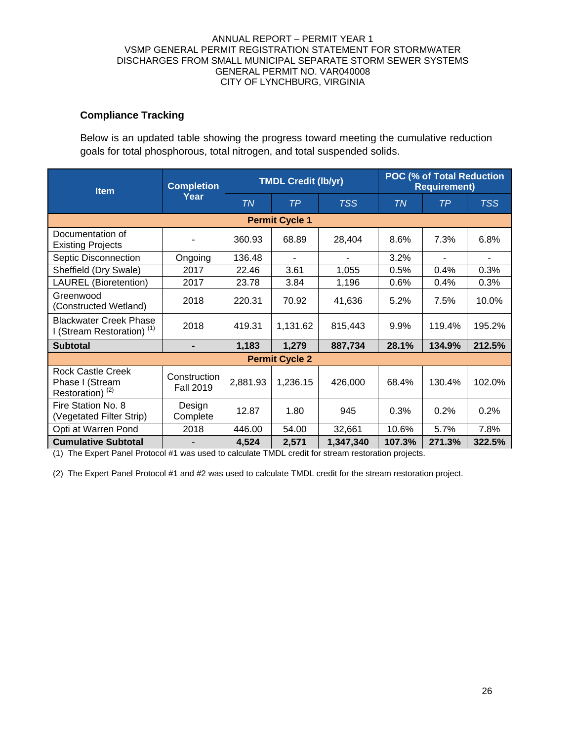## **Compliance Tracking**

Below is an updated table showing the progress toward meeting the cumulative reduction goals for total phosphorous, total nitrogen, and total suspended solids.

| <b>Item</b>                                                                | <b>Completion</b>                |           | <b>TMDL Credit (lb/yr)</b> |            | <b>POC (% of Total Reduction</b><br><b>Requirement)</b> |        |            |
|----------------------------------------------------------------------------|----------------------------------|-----------|----------------------------|------------|---------------------------------------------------------|--------|------------|
|                                                                            | Year                             | <b>TN</b> | TP                         | <b>TSS</b> | TN                                                      | ТP     | <b>TSS</b> |
| <b>Permit Cycle 1</b>                                                      |                                  |           |                            |            |                                                         |        |            |
| Documentation of<br><b>Existing Projects</b>                               |                                  | 360.93    | 68.89                      | 28,404     | 8.6%                                                    | 7.3%   | 6.8%       |
| Septic Disconnection                                                       | Ongoing                          | 136.48    |                            |            | 3.2%                                                    |        |            |
| Sheffield (Dry Swale)                                                      | 2017                             | 22.46     | 3.61                       | 1,055      | 0.5%                                                    | 0.4%   | 0.3%       |
| <b>LAUREL</b> (Bioretention)                                               | 2017                             | 23.78     | 3.84                       | 1,196      | 0.6%                                                    | 0.4%   | 0.3%       |
| Greenwood<br>(Constructed Wetland)                                         | 2018                             | 220.31    | 70.92                      | 41,636     | 5.2%                                                    | 7.5%   | 10.0%      |
| <b>Blackwater Creek Phase</b><br>I (Stream Restoration) <sup>(1)</sup>     | 2018                             | 419.31    | 1,131.62                   | 815,443    | 9.9%                                                    | 119.4% | 195.2%     |
| <b>Subtotal</b>                                                            | -                                | 1,183     | 1,279                      | 887,734    | 28.1%                                                   | 134.9% | 212.5%     |
|                                                                            |                                  |           | <b>Permit Cycle 2</b>      |            |                                                         |        |            |
| <b>Rock Castle Creek</b><br>Phase I (Stream<br>Restoration) <sup>(2)</sup> | Construction<br><b>Fall 2019</b> | 2,881.93  | 1,236.15                   | 426,000    | 68.4%                                                   | 130.4% | 102.0%     |
| Fire Station No. 8<br>(Vegetated Filter Strip)                             | Design<br>Complete               | 12.87     | 1.80                       | 945        | 0.3%                                                    | 0.2%   | 0.2%       |
| Opti at Warren Pond                                                        | 2018                             | 446.00    | 54.00                      | 32,661     | 10.6%                                                   | 5.7%   | 7.8%       |
| <b>Cumulative Subtotal</b>                                                 |                                  | 4,524     | 2,571                      | 1,347,340  | 107.3%                                                  | 271.3% | 322.5%     |

(1) The Expert Panel Protocol #1 was used to calculate TMDL credit for stream restoration projects.

(2) The Expert Panel Protocol #1 and #2 was used to calculate TMDL credit for the stream restoration project.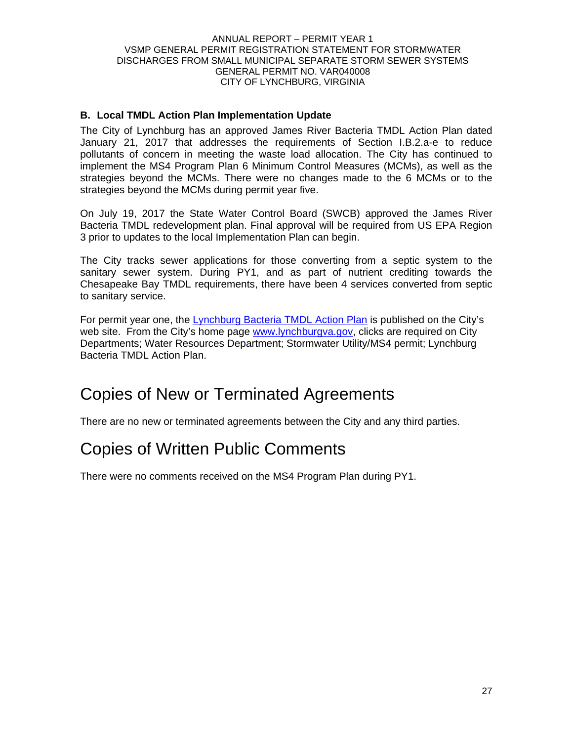## **B. Local TMDL Action Plan Implementation Update**

The City of Lynchburg has an approved James River Bacteria TMDL Action Plan dated January 21, 2017 that addresses the requirements of Section I.B.2.a-e to reduce pollutants of concern in meeting the waste load allocation. The City has continued to implement the MS4 Program Plan 6 Minimum Control Measures (MCMs), as well as the strategies beyond the MCMs. There were no changes made to the 6 MCMs or to the strategies beyond the MCMs during permit year five.

On July 19, 2017 the State Water Control Board (SWCB) approved the James River Bacteria TMDL redevelopment plan. Final approval will be required from US EPA Region 3 prior to updates to the local Implementation Plan can begin.

The City tracks sewer applications for those converting from a septic system to the sanitary sewer system. During PY1, and as part of nutrient crediting towards the Chesapeake Bay TMDL requirements, there have been 4 services converted from septic to sanitary service.

For permit year one, the Lynchburg Bacteria TMDL Action Plan is published on the City's web site. From the City's home page www.lynchburgva.gov, clicks are required on City Departments; Water Resources Department; Stormwater Utility/MS4 permit; Lynchburg Bacteria TMDL Action Plan.

# Copies of New or Terminated Agreements

There are no new or terminated agreements between the City and any third parties.

# Copies of Written Public Comments

There were no comments received on the MS4 Program Plan during PY1.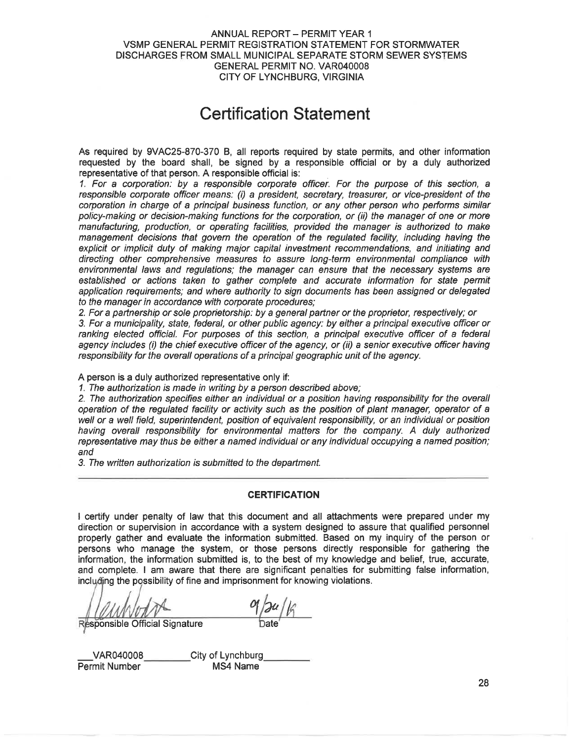# **Certification Statement**

As required by 9VAC25-870-370 B, all reports required by state permits, and other information requested by the board shall, be signed by a responsible official or by a duly authorized representative of that person. A responsible official is:

1. For a corporation: by a responsible corporate officer. For the purpose of this section, a responsible corporate officer means: (i) a president, secretary, treasurer, or vice-president of the corporation in charge of a principal business function, or any other person who performs similar policy-making or decision-making functions for the corporation, or (ii) the manager of one or more manufacturing, production, or operating facilities, provided the manager is authorized to make management decisions that govern the operation of the regulated facility, including having the explicit or implicit duty of making major capital investment recommendations, and initiating and directing other comprehensive measures to assure long-term environmental compliance with environmental laws and regulations; the manager can ensure that the necessary systems are established or actions taken to gather complete and accurate information for state permit application requirements; and where authority to sign documents has been assigned or delegated to the manager in accordance with corporate procedures:

2. For a partnership or sole proprietorship: by a general partner or the proprietor, respectively; or

3. For a municipality, state, federal, or other public agency: by either a principal executive officer or ranking elected official. For purposes of this section, a principal executive officer of a federal agency includes (i) the chief executive officer of the agency, or (ii) a senior executive officer having responsibility for the overall operations of a principal geographic unit of the agency.

A person is a duly authorized representative only if:

1. The authorization is made in writing by a person described above:

2. The authorization specifies either an individual or a position having responsibility for the overall operation of the regulated facility or activity such as the position of plant manager, operator of a well or a well field, superintendent, position of equivalent responsibility, or an individual or position having overall responsibility for environmental matters for the company. A duly authorized representative may thus be either a named individual or any individual occupying a named position; and

3. The written authorization is submitted to the department.

#### **CERTIFICATION**

I certify under penalty of law that this document and all attachments were prepared under my direction or supervision in accordance with a system designed to assure that qualified personnel properly gather and evaluate the information submitted. Based on my inquiry of the person or persons who manage the system, or those persons directly responsible for gathering the information, the information submitted is, to the best of my knowledge and belief, true, accurate, and complete. I am aware that there are significant penalties for submitting false information, including the possibility of fine and imprisonment for knowing violations.

Responsible Official Signature

VAR040008 Permit Number

City of Lynchburg MS4 Name